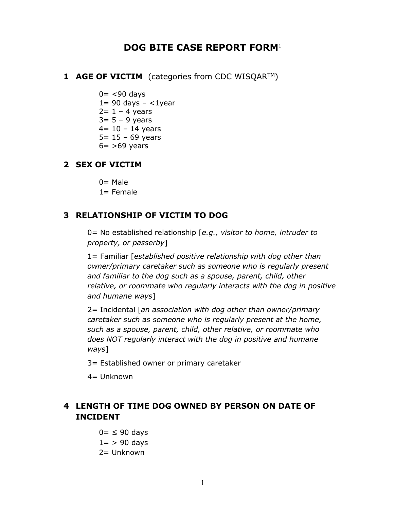# **DOG BITE CASE REPORT FORM**<sup>1</sup>

- **1 AGE OF VICTIM** (categories from CDC WISQAR™)
	- $0 = < 90$  days  $1= 90$  days  $- <1$ year  $2= 1 - 4$  years  $3= 5 - 9$  years  $4 = 10 - 14$  years  $5 = 15 - 69$  years  $6=$  >69 years

#### **2 SEX OF VICTIM**

 $0=$  Male

1= Female

### **3 RELATIONSHIP OF VICTIM TO DOG**

0= No established relationship [*e.g., visitor to home, intruder to property, or passerby*]

1= Familiar [*established positive relationship with dog other than owner/primary caretaker such as someone who is regularly present and familiar to the dog such as a spouse, parent, child, other relative, or roommate who regularly interacts with the dog in positive and humane ways*]

2= Incidental [*an association with dog other than owner/primary caretaker such as someone who is regularly present at the home, such as a spouse, parent, child, other relative, or roommate who does NOT regularly interact with the dog in positive and humane ways*]

3= Established owner or primary caretaker

4= Unknown

## **4 LENGTH OF TIME DOG OWNED BY PERSON ON DATE OF INCIDENT**

 $0=$   $\leq$  90 days  $1=$  > 90 days 2= Unknown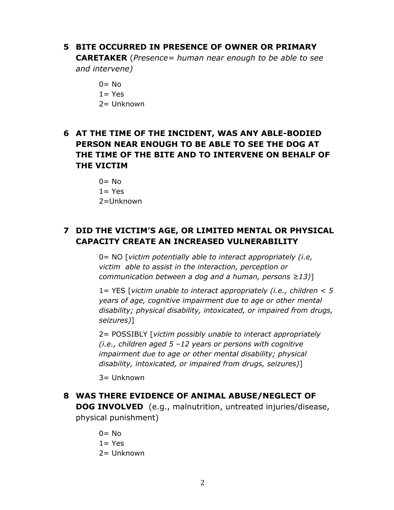### **5 BITE OCCURRED IN PRESENCE OF OWNER OR PRIMARY**

**CARETAKER** (*Presence= human near enough to be able to see and intervene)*

- $0 = No$
- $1 = Yes$
- 2= Unknown

## **6 AT THE TIME OF THE INCIDENT, WAS ANY ABLE-BODIED PERSON NEAR ENOUGH TO BE ABLE TO SEE THE DOG AT THE TIME OF THE BITE AND TO INTERVENE ON BEHALF OF THE VICTIM**

 $0 = No$  $1 = Yes$ 2=Unknown

# **7 DID THE VICTIM'S AGE, OR LIMITED MENTAL OR PHYSICAL CAPACITY CREATE AN INCREASED VULNERABILITY**

0= NO [*victim potentially able to interact appropriately (i.e, victim able to assist in the interaction, perception or communication between a dog and a human, persons ≥13)*]

1= YES [*victim unable to interact appropriately (i.e., children < 5 years of age, cognitive impairment due to age or other mental disability; physical disability, intoxicated, or impaired from drugs, seizures)*]

2= POSSIBLY [*victim possibly unable to interact appropriately (i.e., children aged 5 –12 years or persons with cognitive impairment due to age or other mental disability; physical disability, intoxicated, or impaired from drugs, seizures)*]

 $3=$  Unknown

## **8 WAS THERE EVIDENCE OF ANIMAL ABUSE/NEGLECT OF DOG INVOLVED** (e.g., malnutrition, untreated injuries/disease, physical punishment)

- $0 = No$  $1 = Yes$
- 2= Unknown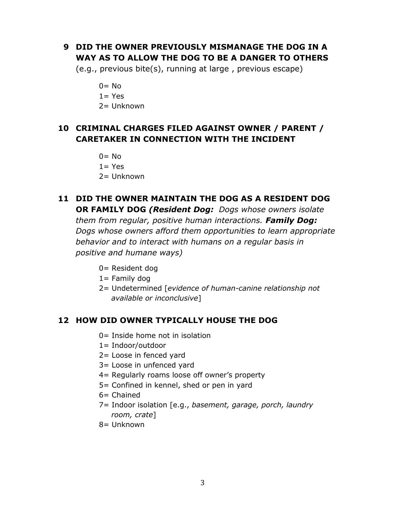## **9 DID THE OWNER PREVIOUSLY MISMANAGE THE DOG IN A WAY AS TO ALLOW THE DOG TO BE A DANGER TO OTHERS**

(e.g., previous bite(s), running at large , previous escape)

 $0 = No$  $1 = Yes$ 

2= Unknown

## **10 CRIMINAL CHARGES FILED AGAINST OWNER / PARENT / CARETAKER IN CONNECTION WITH THE INCIDENT**

 $0=$  No

 $1 = Yes$ 

2= Unknown

### **11 DID THE OWNER MAINTAIN THE DOG AS A RESIDENT DOG OR FAMILY DOG** *(Resident Dog: Dogs whose owners isolate*

*them from regular, positive human interactions. Family Dog:* *Dogs whose owners afford them opportunities to learn appropriate behavior and to interact with humans on a regular basis in positive and humane ways)*

0= Resident dog

 $1=$  Family dog

2= Undetermined [*evidence of human-canine relationship not available or inconclusive*]

### **12 HOW DID OWNER TYPICALLY HOUSE THE DOG**

- 0= Inside home not in isolation
- 1= Indoor/outdoor
- 2= Loose in fenced yard
- 3= Loose in unfenced yard
- 4= Regularly roams loose off owner's property
- 5= Confined in kennel, shed or pen in yard
- $6=$  Chained
- 7= Indoor isolation [e.g., *basement, garage, porch, laundry room, crate*]
- 8= Unknown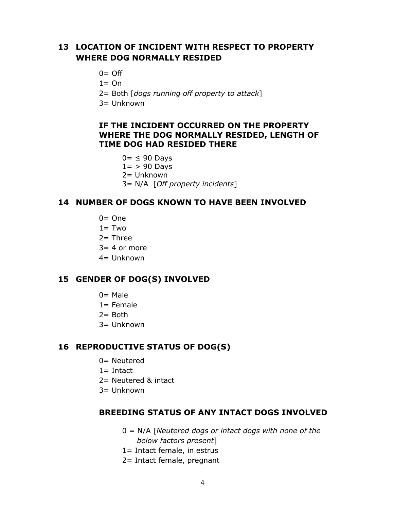### **13 LOCATION OF INCIDENT WITH RESPECT TO PROPERTY WHERE DOG NORMALLY RESIDED**

- $0 = \bigcirc$
- $1 = On$
- 2= Both [*dogs running off property to attack*]
- 3= Unknown

### **IF THE INCIDENT OCCURRED ON THE PROPERTY WHERE THE DOG NORMALLY RESIDED, LENGTH OF TIME DOG HAD RESIDED THERE**

- $0=$   $\leq$  90 Davs  $1=$  > 90 Days
- 2= Unknown
- 3= N/A [*Off property incidents*]

#### **14 NUMBER OF DOGS KNOWN TO HAVE BEEN INVOLVED**

- $0=$  One
- $1 = Two$
- $2=$  Three
- $3=4$  or more
- 4= Unknown

#### **15 GENDER OF DOG(S) INVOLVED**

- $0=$  Male
- $1 =$  Female
- $2=$  Both
- 3= Unknown

#### **16 REPRODUCTIVE STATUS OF DOG(S)**

- 0= Neutered
- $1=$  Intact
- 2= Neutered & intact
- 3= Unknown

#### **BREEDING STATUS OF ANY INTACT DOGS INVOLVED**

- 0 = N/A [*Neutered dogs or intact dogs with none of the below factors present*]
- 1= Intact female, in estrus
- 2= Intact female, pregnant